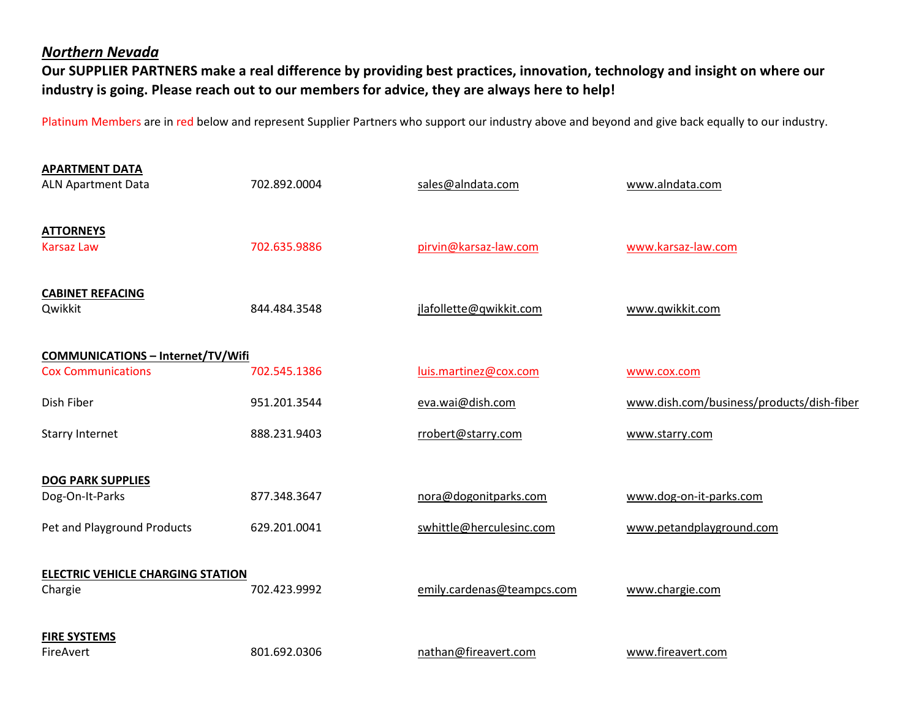## *Northern Nevada*

**Our SUPPLIER PARTNERS make a real difference by providing best practices, innovation, technology and insight on where our industry is going. Please reach out to our members for advice, they are always here to help!** 

Platinum Members are in red below and represent Supplier Partners who support our industry above and beyond and give back equally to our industry.

| <b>APARTMENT DATA</b><br><b>ALN Apartment Data</b> | 702.892.0004 | sales@alndata.com          | www.alndata.com                           |  |
|----------------------------------------------------|--------------|----------------------------|-------------------------------------------|--|
| <b>ATTORNEYS</b><br><b>Karsaz Law</b>              | 702.635.9886 | pirvin@karsaz-law.com      | www.karsaz-law.com                        |  |
| <b>CABINET REFACING</b><br>Qwikkit                 | 844.484.3548 | jlafollette@qwikkit.com    | www.qwikkit.com                           |  |
| <b>COMMUNICATIONS - Internet/TV/Wifi</b>           |              |                            |                                           |  |
| <b>Cox Communications</b>                          | 702.545.1386 | luis.martinez@cox.com      | www.cox.com                               |  |
| Dish Fiber                                         | 951.201.3544 | eva.wai@dish.com           | www.dish.com/business/products/dish-fiber |  |
| <b>Starry Internet</b>                             | 888.231.9403 | rrobert@starry.com         | www.starry.com                            |  |
| <b>DOG PARK SUPPLIES</b>                           |              |                            |                                           |  |
| Dog-On-It-Parks                                    | 877.348.3647 | nora@dogonitparks.com      | www.dog-on-it-parks.com                   |  |
| Pet and Playground Products                        | 629.201.0041 | swhittle@herculesinc.com   | www.petandplayground.com                  |  |
| <b>ELECTRIC VEHICLE CHARGING STATION</b>           |              |                            |                                           |  |
| Chargie                                            | 702.423.9992 | emily.cardenas@teampcs.com | www.chargie.com                           |  |
| <b>FIRE SYSTEMS</b>                                |              |                            |                                           |  |
| FireAvert                                          | 801.692.0306 | nathan@fireavert.com       | www.fireavert.com                         |  |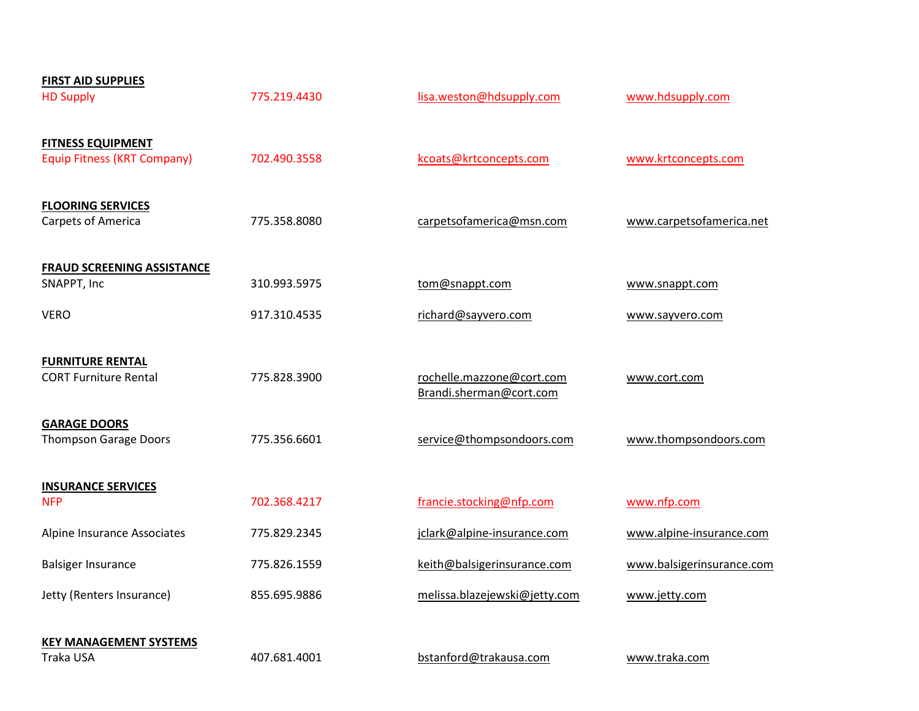| <b>FIRST AID SUPPLIES</b>          |              |                                                      |                           |
|------------------------------------|--------------|------------------------------------------------------|---------------------------|
| <b>HD Supply</b>                   | 775.219.4430 | lisa.weston@hdsupply.com                             | www.hdsupply.com          |
| <b>FITNESS EQUIPMENT</b>           |              |                                                      |                           |
| <b>Equip Fitness (KRT Company)</b> | 702.490.3558 | kcoats@krtconcepts.com                               | www.krtconcepts.com       |
| <b>FLOORING SERVICES</b>           |              |                                                      |                           |
| Carpets of America                 | 775.358.8080 | carpetsofamerica@msn.com                             | www.carpetsofamerica.net  |
| <b>FRAUD SCREENING ASSISTANCE</b>  |              |                                                      |                           |
| SNAPPT, Inc                        | 310.993.5975 | tom@snappt.com                                       | www.snappt.com            |
| <b>VERO</b>                        | 917.310.4535 | richard@sayvero.com                                  | www.sayvero.com           |
| <b>FURNITURE RENTAL</b>            |              |                                                      |                           |
| <b>CORT Furniture Rental</b>       | 775.828.3900 | rochelle.mazzone@cort.com<br>Brandi.sherman@cort.com | www.cort.com              |
| <b>GARAGE DOORS</b>                |              |                                                      |                           |
| <b>Thompson Garage Doors</b>       | 775.356.6601 | service@thompsondoors.com                            | www.thompsondoors.com     |
| <b>INSURANCE SERVICES</b>          |              |                                                      |                           |
| <b>NFP</b>                         | 702.368.4217 | francie.stocking@nfp.com                             | www.nfp.com               |
| Alpine Insurance Associates        | 775.829.2345 | jclark@alpine-insurance.com                          | www.alpine-insurance.com  |
| <b>Balsiger Insurance</b>          | 775.826.1559 | keith@balsigerinsurance.com                          | www.balsigerinsurance.com |
| Jetty (Renters Insurance)          | 855.695.9886 | melissa.blazejewski@jetty.com                        | www.jetty.com             |
| <b>KEY MANAGEMENT SYSTEMS</b>      |              |                                                      |                           |
| Traka USA                          | 407.681.4001 | bstanford@trakausa.com                               | www.traka.com             |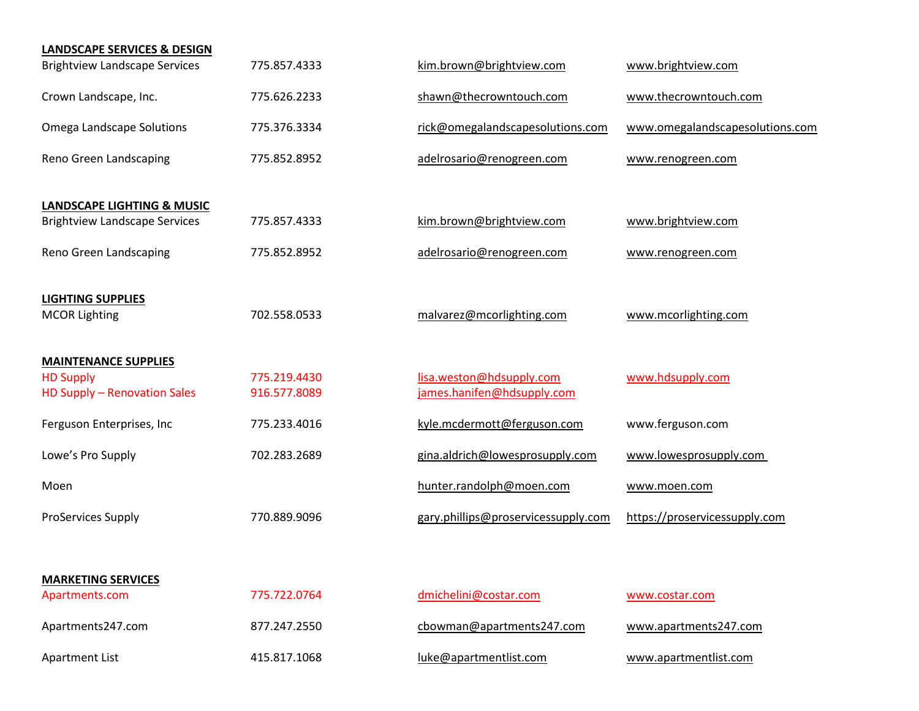| <b>LANDSCAPE SERVICES &amp; DESIGN</b>      |              |                                     |                                 |
|---------------------------------------------|--------------|-------------------------------------|---------------------------------|
| <b>Brightview Landscape Services</b>        | 775.857.4333 | kim.brown@brightview.com            | www.brightview.com              |
| Crown Landscape, Inc.                       | 775.626.2233 | shawn@thecrowntouch.com             | www.thecrowntouch.com           |
| Omega Landscape Solutions                   | 775.376.3334 | rick@omegalandscapesolutions.com    | www.omegalandscapesolutions.com |
| Reno Green Landscaping                      | 775.852.8952 | adelrosario@renogreen.com           | www.renogreen.com               |
| <b>LANDSCAPE LIGHTING &amp; MUSIC</b>       |              |                                     |                                 |
| <b>Brightview Landscape Services</b>        | 775.857.4333 | kim.brown@brightview.com            | www.brightview.com              |
| Reno Green Landscaping                      | 775.852.8952 | adelrosario@renogreen.com           | www.renogreen.com               |
| <b>LIGHTING SUPPLIES</b>                    |              |                                     |                                 |
| <b>MCOR Lighting</b>                        | 702.558.0533 | malvarez@mcorlighting.com           | www.mcorlighting.com            |
| <b>MAINTENANCE SUPPLIES</b>                 |              |                                     |                                 |
| <b>HD Supply</b>                            | 775.219.4430 | lisa.weston@hdsupply.com            | www.hdsupply.com                |
| HD Supply - Renovation Sales                | 916.577.8089 | james.hanifen@hdsupply.com          |                                 |
| Ferguson Enterprises, Inc                   | 775.233.4016 | kyle.mcdermott@ferguson.com         | www.ferguson.com                |
| Lowe's Pro Supply                           | 702.283.2689 | gina.aldrich@lowesprosupply.com     | www.lowesprosupply.com          |
| Moen                                        |              | hunter.randolph@moen.com            | www.moen.com                    |
| <b>ProServices Supply</b>                   | 770.889.9096 | gary.phillips@proservicessupply.com | https://proservicessupply.com   |
|                                             |              |                                     |                                 |
| <b>MARKETING SERVICES</b><br>Apartments.com | 775.722.0764 | dmichelini@costar.com               | www.costar.com                  |
| Apartments247.com                           | 877.247.2550 | cbowman@apartments247.com           | www.apartments247.com           |
| <b>Apartment List</b>                       | 415.817.1068 | luke@apartmentlist.com              | www.apartmentlist.com           |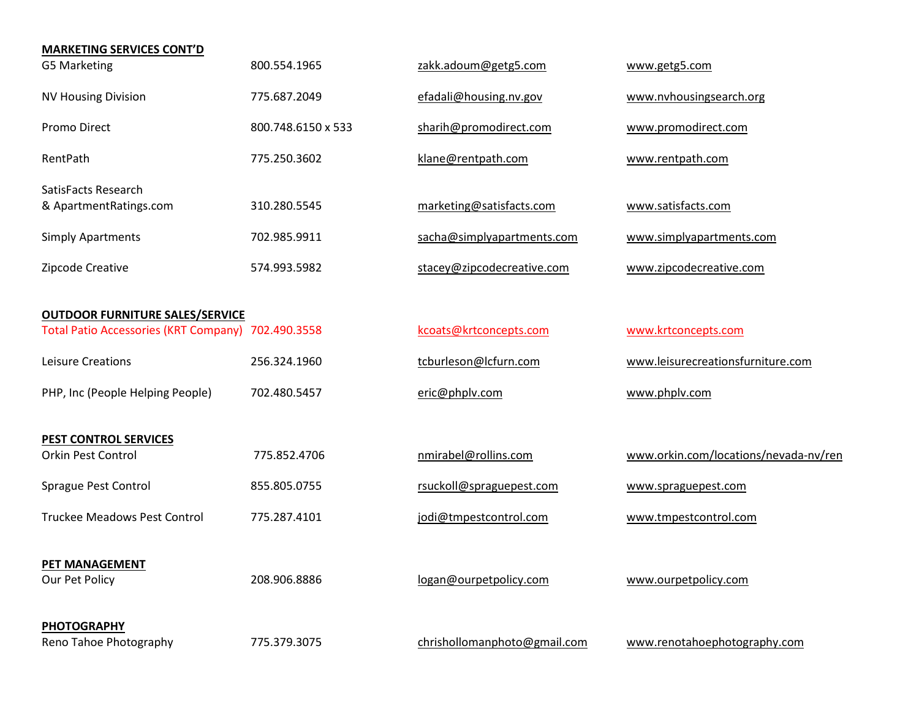| <b>MARKETING SERVICES CONT'D</b>                   |                    |                              |                                       |
|----------------------------------------------------|--------------------|------------------------------|---------------------------------------|
| <b>G5 Marketing</b>                                | 800.554.1965       | zakk.adoum@getg5.com         | www.getg5.com                         |
| <b>NV Housing Division</b>                         | 775.687.2049       | efadali@housing.nv.gov       | www.nvhousingsearch.org               |
| Promo Direct                                       | 800.748.6150 x 533 | sharih@promodirect.com       | www.promodirect.com                   |
| RentPath                                           | 775.250.3602       | klane@rentpath.com           | www.rentpath.com                      |
| SatisFacts Research<br>& ApartmentRatings.com      | 310.280.5545       | marketing@satisfacts.com     | www.satisfacts.com                    |
| <b>Simply Apartments</b>                           | 702.985.9911       | sacha@simplyapartments.com   | www.simplyapartments.com              |
| Zipcode Creative                                   | 574.993.5982       | stacey@zipcodecreative.com   | www.zipcodecreative.com               |
| <b>OUTDOOR FURNITURE SALES/SERVICE</b>             |                    |                              |                                       |
| Total Patio Accessories (KRT Company) 702.490.3558 |                    | kcoats@krtconcepts.com       | www.krtconcepts.com                   |
| Leisure Creations                                  | 256.324.1960       | tcburleson@lcfurn.com        | www.leisurecreationsfurniture.com     |
| PHP, Inc (People Helping People)                   | 702.480.5457       | eric@phplv.com               | www.phplv.com                         |
| <b>PEST CONTROL SERVICES</b>                       |                    |                              |                                       |
| Orkin Pest Control                                 | 775.852.4706       | nmirabel@rollins.com         | www.orkin.com/locations/nevada-nv/ren |
| Sprague Pest Control                               | 855.805.0755       | rsuckoll@spraguepest.com     | www.spraguepest.com                   |
| <b>Truckee Meadows Pest Control</b>                | 775.287.4101       | jodi@tmpestcontrol.com       | www.tmpestcontrol.com                 |
| <b>PET MANAGEMENT</b><br>Our Pet Policy            | 208.906.8886       | logan@ourpetpolicy.com       | www.ourpetpolicy.com                  |
| <b>PHOTOGRAPHY</b><br>Reno Tahoe Photography       | 775.379.3075       | chrishollomanphoto@gmail.com | www.renotahoephotography.com          |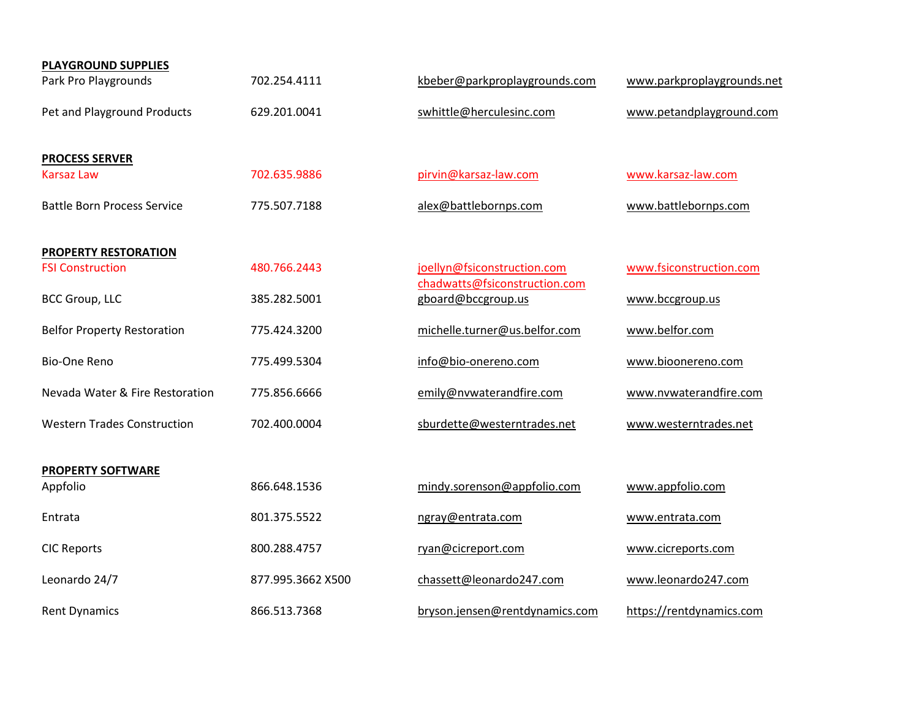| <b>PLAYGROUND SUPPLIES</b>           |                   |                                                              |                            |
|--------------------------------------|-------------------|--------------------------------------------------------------|----------------------------|
| Park Pro Playgrounds                 | 702.254.4111      | kbeber@parkproplaygrounds.com                                | www.parkproplaygrounds.net |
| Pet and Playground Products          | 629.201.0041      | swhittle@herculesinc.com                                     | www.petandplayground.com   |
| <b>PROCESS SERVER</b>                |                   |                                                              |                            |
| <b>Karsaz Law</b>                    | 702.635.9886      | pirvin@karsaz-law.com                                        | www.karsaz-law.com         |
| <b>Battle Born Process Service</b>   | 775.507.7188      | alex@battlebornps.com                                        | www.battlebornps.com       |
| PROPERTY RESTORATION                 |                   |                                                              |                            |
| <b>FSI Construction</b>              | 480.766.2443      | joellyn@fsiconstruction.com<br>chadwatts@fsiconstruction.com | www.fsiconstruction.com    |
| <b>BCC Group, LLC</b>                | 385.282.5001      | gboard@bccgroup.us                                           | www.bccgroup.us            |
| <b>Belfor Property Restoration</b>   | 775.424.3200      | michelle.turner@us.belfor.com                                | www.belfor.com             |
| <b>Bio-One Reno</b>                  | 775.499.5304      | info@bio-onereno.com                                         | www.bioonereno.com         |
| Nevada Water & Fire Restoration      | 775.856.6666      | emily@nvwaterandfire.com                                     | www.nvwaterandfire.com     |
| <b>Western Trades Construction</b>   | 702.400.0004      | sburdette@westerntrades.net                                  | www.westerntrades.net      |
|                                      |                   |                                                              |                            |
| <b>PROPERTY SOFTWARE</b><br>Appfolio | 866.648.1536      | mindy.sorenson@appfolio.com                                  | www.appfolio.com           |
| Entrata                              | 801.375.5522      | ngray@entrata.com                                            | www.entrata.com            |
| <b>CIC Reports</b>                   | 800.288.4757      | ryan@cicreport.com                                           | www.cicreports.com         |
| Leonardo 24/7                        | 877.995.3662 X500 | chassett@leonardo247.com                                     | www.leonardo247.com        |
| <b>Rent Dynamics</b>                 | 866.513.7368      | bryson.jensen@rentdynamics.com                               | https://rentdynamics.com   |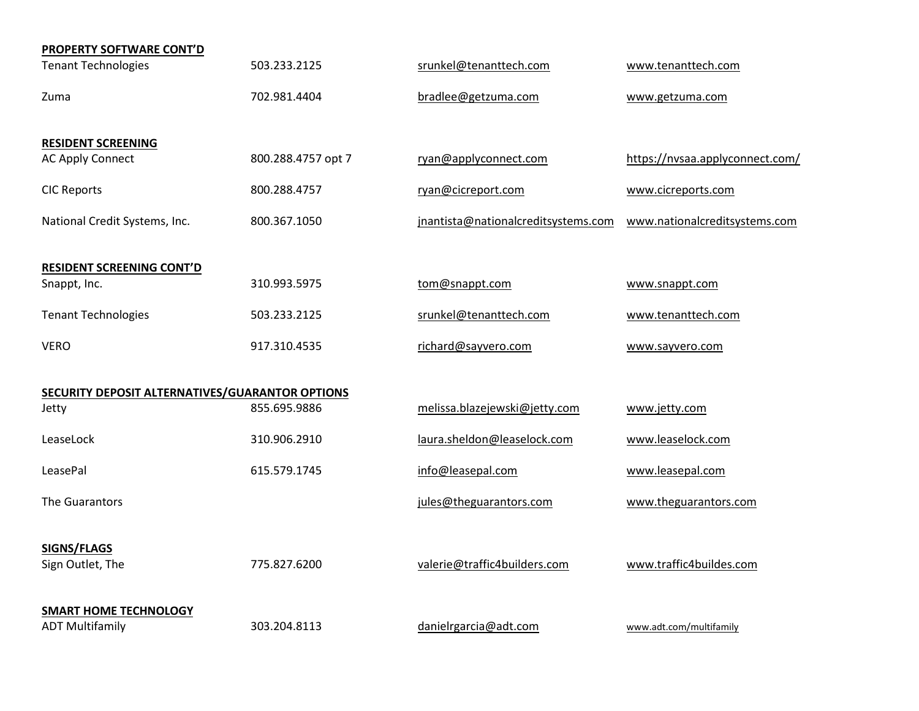| PROPERTY SOFTWARE CONT'D                        |                    |                                     |                                 |
|-------------------------------------------------|--------------------|-------------------------------------|---------------------------------|
| <b>Tenant Technologies</b>                      | 503.233.2125       | srunkel@tenanttech.com              | www.tenanttech.com              |
| Zuma                                            | 702.981.4404       | bradlee@getzuma.com                 | www.getzuma.com                 |
| <b>RESIDENT SCREENING</b>                       |                    |                                     |                                 |
| <b>AC Apply Connect</b>                         | 800.288.4757 opt 7 | ryan@applyconnect.com               | https://nvsaa.applyconnect.com/ |
| <b>CIC Reports</b>                              | 800.288.4757       | ryan@cicreport.com                  | www.cicreports.com              |
| National Credit Systems, Inc.                   | 800.367.1050       | jnantista@nationalcreditsystems.com | www.nationalcreditsystems.com   |
| <b>RESIDENT SCREENING CONT'D</b>                |                    |                                     |                                 |
| Snappt, Inc.                                    | 310.993.5975       | tom@snappt.com                      | www.snappt.com                  |
| <b>Tenant Technologies</b>                      | 503.233.2125       | srunkel@tenanttech.com              | www.tenanttech.com              |
| <b>VERO</b>                                     | 917.310.4535       | richard@sayvero.com                 | www.sayvero.com                 |
| SECURITY DEPOSIT ALTERNATIVES/GUARANTOR OPTIONS |                    |                                     |                                 |
| Jetty                                           | 855.695.9886       | melissa.blazejewski@jetty.com       | www.jetty.com                   |
| LeaseLock                                       | 310.906.2910       | laura.sheldon@leaselock.com         | www.leaselock.com               |
| LeasePal                                        | 615.579.1745       | info@leasepal.com                   | www.leasepal.com                |
| The Guarantors                                  |                    | jules@theguarantors.com             | www.theguarantors.com           |
| SIGNS/FLAGS                                     |                    |                                     |                                 |
| Sign Outlet, The                                | 775.827.6200       | valerie@traffic4builders.com        | www.traffic4buildes.com         |
| <b>SMART HOME TECHNOLOGY</b>                    |                    |                                     |                                 |
| <b>ADT Multifamily</b>                          | 303.204.8113       | danielrgarcia@adt.com               | www.adt.com/multifamily         |